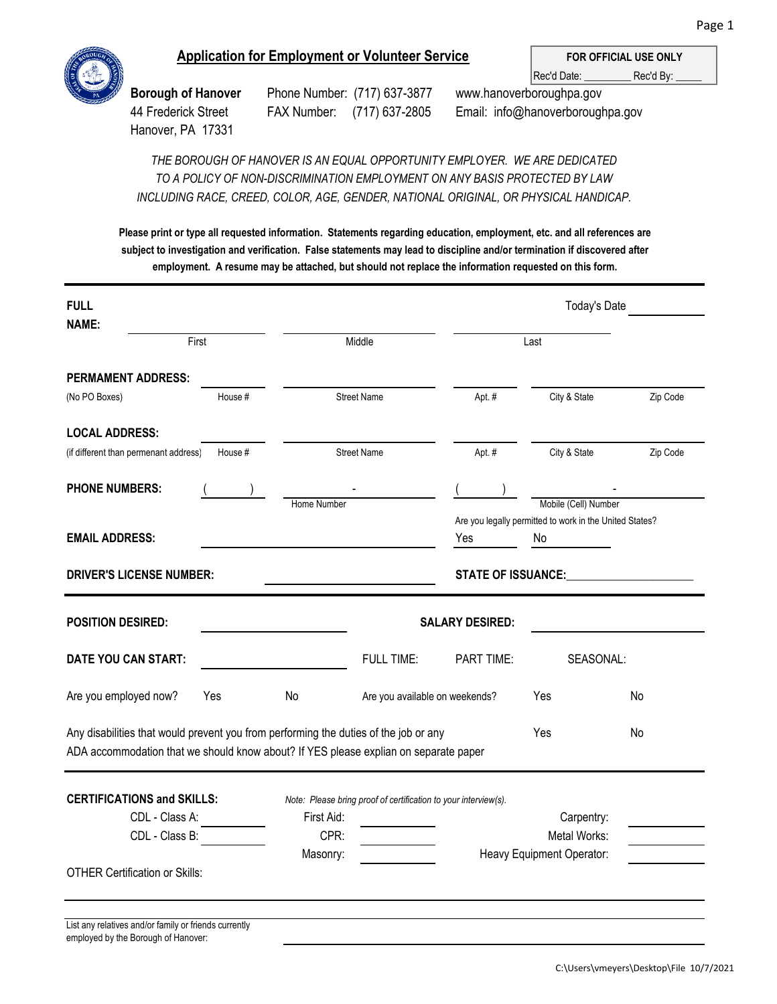

## **Application for Employment or Volunteer Service**

Rec'd Date: \_\_\_\_\_\_\_\_\_\_\_\_ Rec'd By: **FOR OFFICIAL USE ONLY**

Hanover, PA 17331

employed by the Borough of Hanover:

**Borough of Hanover** Phone Number: (717) 637-3877 www.hanoverboroughpa.gov 44 Frederick Street FAX Number: (717) 637-2805 Email: info@hanoverboroughpa.gov

*TO A POLICY OF NON-DISCRIMINATION EMPLOYMENT ON ANY BASIS PROTECTED BY LAW INCLUDING RACE, CREED, COLOR, AGE, GENDER, NATIONAL ORIGINAL, OR PHYSICAL HANDICAP. THE BOROUGH OF HANOVER IS AN EQUAL OPPORTUNITY EMPLOYER. WE ARE DEDICATED*

**Please print or type all requested information. Statements regarding education, employment, etc. and all references are subject to investigation and verification. False statements may lead to discipline and/or termination if discovered after employment. A resume may be attached, but should not replace the information requested on this form.**

| <b>FULL</b>                                                                                                                                                                  |                 |             |                                                                 | <b>Today's Date</b>                                                                                            |                                                                                 |          |  |
|------------------------------------------------------------------------------------------------------------------------------------------------------------------------------|-----------------|-------------|-----------------------------------------------------------------|----------------------------------------------------------------------------------------------------------------|---------------------------------------------------------------------------------|----------|--|
| <b>NAME:</b>                                                                                                                                                                 | First<br>Middle |             |                                                                 | Last                                                                                                           |                                                                                 |          |  |
| <b>PERMAMENT ADDRESS:</b>                                                                                                                                                    |                 |             |                                                                 |                                                                                                                |                                                                                 |          |  |
| (No PO Boxes)                                                                                                                                                                | House #         |             | <b>Street Name</b>                                              | Apt. #                                                                                                         | City & State                                                                    | Zip Code |  |
| <b>LOCAL ADDRESS:</b>                                                                                                                                                        |                 |             |                                                                 |                                                                                                                |                                                                                 |          |  |
| (if different than permenant address)                                                                                                                                        | House #         |             | <b>Street Name</b>                                              | Apt. #                                                                                                         | City & State                                                                    | Zip Code |  |
| <b>PHONE NUMBERS:</b>                                                                                                                                                        |                 |             |                                                                 |                                                                                                                |                                                                                 |          |  |
|                                                                                                                                                                              |                 | Home Number |                                                                 |                                                                                                                | Mobile (Cell) Number<br>Are you legally permitted to work in the United States? |          |  |
| <b>EMAIL ADDRESS:</b>                                                                                                                                                        |                 |             |                                                                 | Yes                                                                                                            | No                                                                              |          |  |
| <b>DRIVER'S LICENSE NUMBER:</b>                                                                                                                                              |                 |             |                                                                 | STATE OF ISSUANCE: Parameters and the state of the state of the state of the state of the state of the state o |                                                                                 |          |  |
|                                                                                                                                                                              |                 |             |                                                                 |                                                                                                                |                                                                                 |          |  |
| <b>POSITION DESIRED:</b>                                                                                                                                                     |                 |             |                                                                 | <b>SALARY DESIRED:</b>                                                                                         |                                                                                 |          |  |
| DATE YOU CAN START:                                                                                                                                                          |                 |             | <b>FULL TIME:</b>                                               | PART TIME:                                                                                                     | SEASONAL:                                                                       |          |  |
| Are you employed now?                                                                                                                                                        | Yes             | No          | Are you available on weekends?                                  |                                                                                                                | Yes                                                                             | No       |  |
| Any disabilities that would prevent you from performing the duties of the job or any<br>ADA accommodation that we should know about? If YES please explian on separate paper |                 |             |                                                                 |                                                                                                                | Yes                                                                             | No       |  |
|                                                                                                                                                                              |                 |             |                                                                 |                                                                                                                |                                                                                 |          |  |
| <b>CERTIFICATIONS and SKILLS:</b>                                                                                                                                            |                 |             | Note: Please bring proof of certification to your interview(s). |                                                                                                                |                                                                                 |          |  |
| CDL - Class A:                                                                                                                                                               |                 | First Aid:  |                                                                 |                                                                                                                | Carpentry:                                                                      |          |  |
| CDL - Class B:                                                                                                                                                               |                 | CPR:        |                                                                 |                                                                                                                | Metal Works:                                                                    |          |  |
|                                                                                                                                                                              |                 | Masonry:    |                                                                 |                                                                                                                | Heavy Equipment Operator:                                                       |          |  |
| <b>OTHER Certification or Skills:</b>                                                                                                                                        |                 |             |                                                                 |                                                                                                                |                                                                                 |          |  |
|                                                                                                                                                                              |                 |             |                                                                 |                                                                                                                |                                                                                 |          |  |
| List any relatives and/or family or friends currently                                                                                                                        |                 |             |                                                                 |                                                                                                                |                                                                                 |          |  |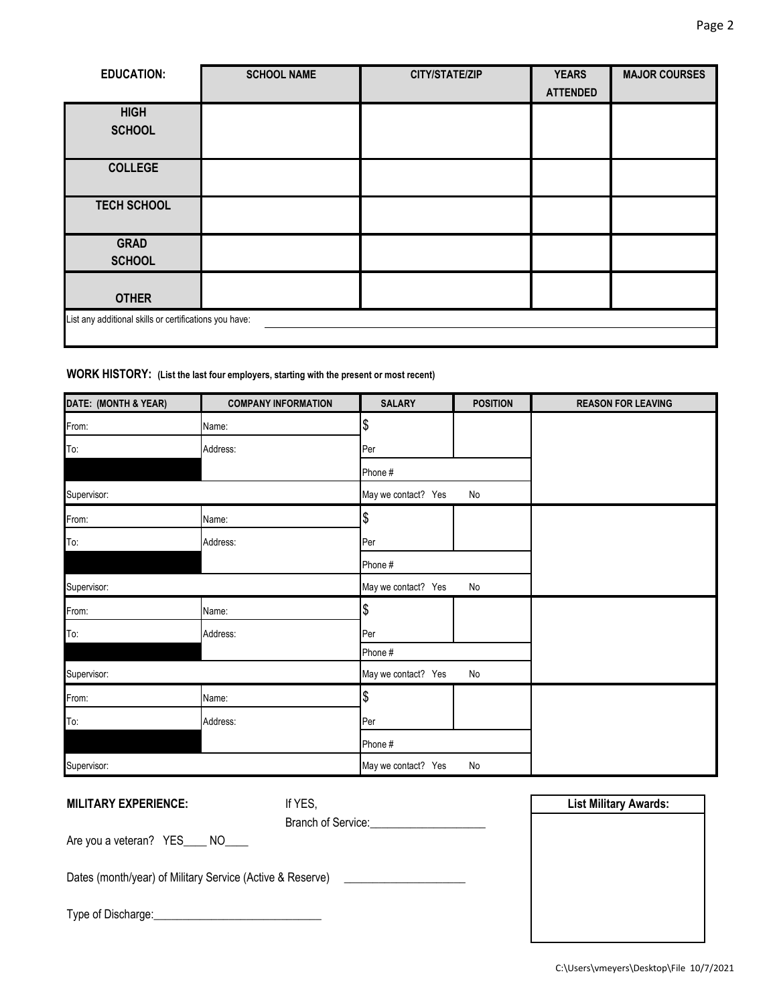| <b>EDUCATION:</b>                                      | <b>SCHOOL NAME</b> | <b>CITY/STATE/ZIP</b> | <b>YEARS</b>    | <b>MAJOR COURSES</b> |
|--------------------------------------------------------|--------------------|-----------------------|-----------------|----------------------|
|                                                        |                    |                       | <b>ATTENDED</b> |                      |
| <b>HIGH</b>                                            |                    |                       |                 |                      |
| <b>SCHOOL</b>                                          |                    |                       |                 |                      |
|                                                        |                    |                       |                 |                      |
| <b>COLLEGE</b>                                         |                    |                       |                 |                      |
|                                                        |                    |                       |                 |                      |
| <b>TECH SCHOOL</b>                                     |                    |                       |                 |                      |
|                                                        |                    |                       |                 |                      |
| <b>GRAD</b>                                            |                    |                       |                 |                      |
| <b>SCHOOL</b>                                          |                    |                       |                 |                      |
|                                                        |                    |                       |                 |                      |
| <b>OTHER</b>                                           |                    |                       |                 |                      |
| List any additional skills or certifications you have: |                    |                       |                 |                      |
|                                                        |                    |                       |                 |                      |

## **WORK HISTORY: (List the last four employers, starting with the present or most recent)**

| DATE: (MONTH & YEAR) | <b>COMPANY INFORMATION</b> | <b>SALARY</b>       | <b>POSITION</b> | <b>REASON FOR LEAVING</b> |
|----------------------|----------------------------|---------------------|-----------------|---------------------------|
| From:                | Name:                      | \$                  |                 |                           |
| To:                  | Address:                   | Per                 |                 |                           |
|                      |                            | Phone #             |                 |                           |
| Supervisor:          |                            | May we contact? Yes | No              |                           |
| From:                | Name:                      | \$                  |                 |                           |
| To:                  | Address:                   | Per                 |                 |                           |
|                      |                            | Phone #             |                 |                           |
| Supervisor:          |                            | May we contact? Yes | No              |                           |
| From:                | Name:                      | \$                  |                 |                           |
| To:                  | Address:                   | Per                 |                 |                           |
|                      |                            | Phone #             |                 |                           |
| Supervisor:          |                            | May we contact? Yes | No              |                           |
| From:                | Name:                      | \$                  |                 |                           |
| To:                  | Address:                   | Per                 |                 |                           |
|                      |                            | Phone #             |                 |                           |
| Supervisor:          |                            | May we contact? Yes | No              |                           |

| <b>MILITARY EXPERIENCE:</b>                               | If YES,                                         | <b>List Military Awards:</b> |
|-----------------------------------------------------------|-------------------------------------------------|------------------------------|
|                                                           | Branch of Service: <u>_____________________</u> |                              |
| Are you a veteran? YES____ NO____                         |                                                 |                              |
| Dates (month/year) of Military Service (Active & Reserve) |                                                 |                              |
|                                                           |                                                 |                              |